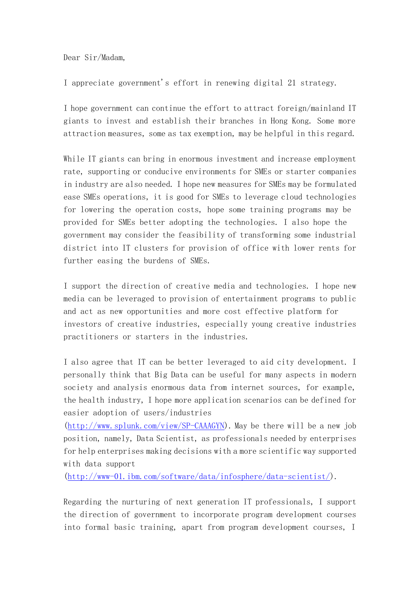Dear Sir/Madam,

I appreciate government's effort in renewing digital 21 strategy.

I hope government can continue the effort to attract foreign/mainland IT giants to invest and establish their branches in Hong Kong. Some more attraction measures, some as tax exemption, may be helpful in this regard.

While IT giants can bring in enormous investment and increase employment rate, supporting or conducive environments for SMEs or starter companies in industry are also needed. I hope new measures for SMEs may be formulated ease SMEs operations, it is good for SMEs to leverage cloud technologies for lowering the operation costs, hope some training programs may be provided for SMEs better adopting the technologies. I also hope the government may consider the feasibility of transforming some industrial district into IT clusters for provision of office with lower rents for further easing the burdens of SMEs.

I support the direction of creative media and technologies. I hope new media can be leveraged to provision of entertainment programs to public and act as new opportunities and more cost effective platform for investors of creative industries, especially young creative industries practitioners or starters in the industries.

I also agree that IT can be better leveraged to aid city development. I personally think that Big Data can be useful for many aspects in modern society and analysis enormous data from internet sources, for example, the health industry, I hope more application scenarios can be defined for easier adoption of users/industries

[\(http://www.splunk.com/view/SP-CAAAGYN\)](http://www.splunk.com/view/SP-CAAAGYN). May be there will be a new job position, namely, Data Scientist, as professionals needed by enterprises for help enterprises making decisions with a more scientific way supported with data support

[\(http://www-01.ibm.com/software/data/infosphere/data-scientist/\)](http://www-01.ibm.com/software/data/infosphere/data-scientist/).

Regarding the nurturing of next generation IT professionals, I support the direction of government to incorporate program development courses into formal basic training, apart from program development courses, I